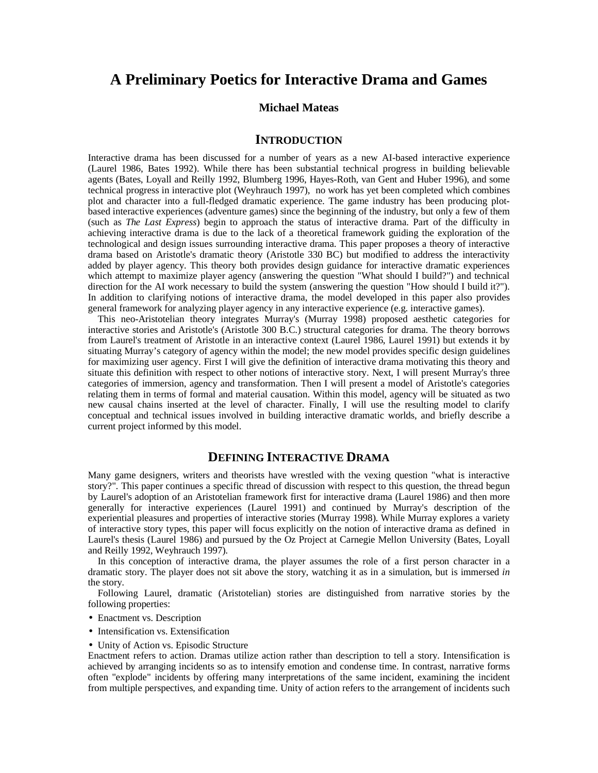# **A Preliminary Poetics for Interactive Drama and Games**

#### **Michael Mateas**

# **INTRODUCTION**

Interactive drama has been discussed for a number of years as a new AI-based interactive experience (Laurel 1986, Bates 1992). While there has been substantial technical progress in building believable agents (Bates, Loyall and Reilly 1992, Blumberg 1996, Hayes-Roth, van Gent and Huber 1996), and some technical progress in interactive plot (Weyhrauch 1997), no work has yet been completed which combines plot and character into a full-fledged dramatic experience. The game industry has been producing plotbased interactive experiences (adventure games) since the beginning of the industry, but only a few of them (such as *The Last Express*) begin to approach the status of interactive drama. Part of the difficulty in achieving interactive drama is due to the lack of a theoretical framework guiding the exploration of the technological and design issues surrounding interactive drama. This paper proposes a theory of interactive drama based on Aristotle's dramatic theory (Aristotle 330 BC) but modified to address the interactivity added by player agency. This theory both provides design guidance for interactive dramatic experiences which attempt to maximize player agency (answering the question "What should I build?") and technical direction for the AI work necessary to build the system (answering the question "How should I build it?"). In addition to clarifying notions of interactive drama, the model developed in this paper also provides general framework for analyzing player agency in any interactive experience (e.g. interactive games).

 This neo-Aristotelian theory integrates Murray's (Murray 1998) proposed aesthetic categories for interactive stories and Aristotle's (Aristotle 300 B.C.) structural categories for drama. The theory borrows from Laurel's treatment of Aristotle in an interactive context (Laurel 1986, Laurel 1991) but extends it by situating Murray's category of agency within the model; the new model provides specific design guidelines for maximizing user agency. First I will give the definition of interactive drama motivating this theory and situate this definition with respect to other notions of interactive story. Next, I will present Murray's three categories of immersion, agency and transformation. Then I will present a model of Aristotle's categories relating them in terms of formal and material causation. Within this model, agency will be situated as two new causal chains inserted at the level of character. Finally, I will use the resulting model to clarify conceptual and technical issues involved in building interactive dramatic worlds, and briefly describe a current project informed by this model.

# **DEFINING INTERACTIVE DRAMA**

Many game designers, writers and theorists have wrestled with the vexing question "what is interactive story?". This paper continues a specific thread of discussion with respect to this question, the thread begun by Laurel's adoption of an Aristotelian framework first for interactive drama (Laurel 1986) and then more generally for interactive experiences (Laurel 1991) and continued by Murray's description of the experiential pleasures and properties of interactive stories (Murray 1998). While Murray explores a variety of interactive story types, this paper will focus explicitly on the notion of interactive drama as defined in Laurel's thesis (Laurel 1986) and pursued by the Oz Project at Carnegie Mellon University (Bates, Loyall and Reilly 1992, Weyhrauch 1997).

 In this conception of interactive drama, the player assumes the role of a first person character in a dramatic story. The player does not sit above the story, watching it as in a simulation, but is immersed *in* the story.

 Following Laurel, dramatic (Aristotelian) stories are distinguished from narrative stories by the following properties:

- Enactment vs. Description
- Intensification vs. Extensification
- Unity of Action vs. Episodic Structure

Enactment refers to action. Dramas utilize action rather than description to tell a story. Intensification is achieved by arranging incidents so as to intensify emotion and condense time. In contrast, narrative forms often "explode" incidents by offering many interpretations of the same incident, examining the incident from multiple perspectives, and expanding time. Unity of action refers to the arrangement of incidents such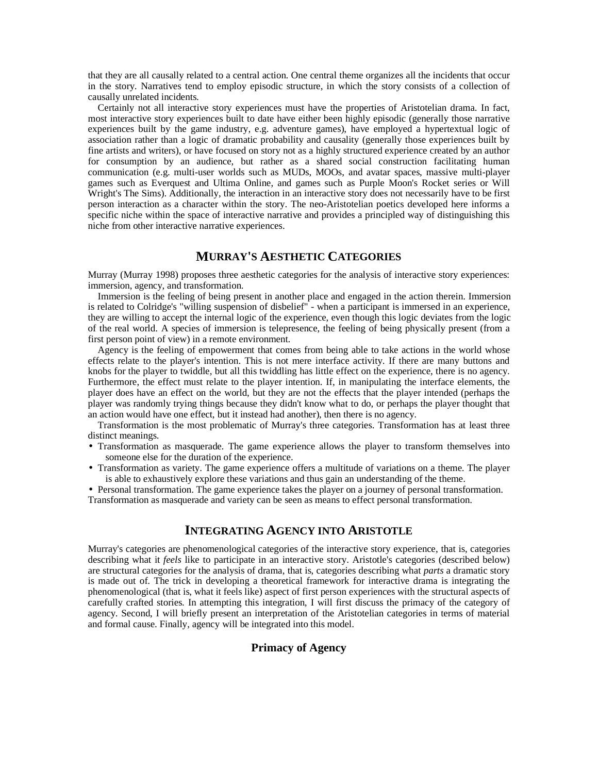that they are all causally related to a central action. One central theme organizes all the incidents that occur in the story. Narratives tend to employ episodic structure, in which the story consists of a collection of causally unrelated incidents.

 Certainly not all interactive story experiences must have the properties of Aristotelian drama. In fact, most interactive story experiences built to date have either been highly episodic (generally those narrative experiences built by the game industry, e.g. adventure games), have employed a hypertextual logic of association rather than a logic of dramatic probability and causality (generally those experiences built by fine artists and writers), or have focused on story not as a highly structured experience created by an author for consumption by an audience, but rather as a shared social construction facilitating human communication (e.g. multi-user worlds such as MUDs, MOOs, and avatar spaces, massive multi-player games such as Everquest and Ultima Online, and games such as Purple Moon's Rocket series or Will Wright's The Sims). Additionally, the interaction in an interactive story does not necessarily have to be first person interaction as a character within the story. The neo-Aristotelian poetics developed here informs a specific niche within the space of interactive narrative and provides a principled way of distinguishing this niche from other interactive narrative experiences.

# **MURRAY'S AESTHETIC CATEGORIES**

Murray (Murray 1998) proposes three aesthetic categories for the analysis of interactive story experiences: immersion, agency, and transformation.

 Immersion is the feeling of being present in another place and engaged in the action therein. Immersion is related to Colridge's "willing suspension of disbelief" - when a participant is immersed in an experience, they are willing to accept the internal logic of the experience, even though this logic deviates from the logic of the real world. A species of immersion is telepresence, the feeling of being physically present (from a first person point of view) in a remote environment.

 Agency is the feeling of empowerment that comes from being able to take actions in the world whose effects relate to the player's intention. This is not mere interface activity. If there are many buttons and knobs for the player to twiddle, but all this twiddling has little effect on the experience, there is no agency. Furthermore, the effect must relate to the player intention. If, in manipulating the interface elements, the player does have an effect on the world, but they are not the effects that the player intended (perhaps the player was randomly trying things because they didn't know what to do, or perhaps the player thought that an action would have one effect, but it instead had another), then there is no agency.

 Transformation is the most problematic of Murray's three categories. Transformation has at least three distinct meanings.

- Transformation as masquerade. The game experience allows the player to transform themselves into someone else for the duration of the experience.
- Transformation as variety. The game experience offers a multitude of variations on a theme. The player is able to exhaustively explore these variations and thus gain an understanding of the theme.

• Personal transformation. The game experience takes the player on a journey of personal transformation. Transformation as masquerade and variety can be seen as means to effect personal transformation.

# **INTEGRATING AGENCY INTO ARISTOTLE**

Murray's categories are phenomenological categories of the interactive story experience, that is, categories describing what it *feels* like to participate in an interactive story. Aristotle's categories (described below) are structural categories for the analysis of drama, that is, categories describing what *parts* a dramatic story is made out of. The trick in developing a theoretical framework for interactive drama is integrating the phenomenological (that is, what it feels like) aspect of first person experiences with the structural aspects of carefully crafted stories. In attempting this integration, I will first discuss the primacy of the category of agency. Second, I will briefly present an interpretation of the Aristotelian categories in terms of material and formal cause. Finally, agency will be integrated into this model.

# **Primacy of Agency**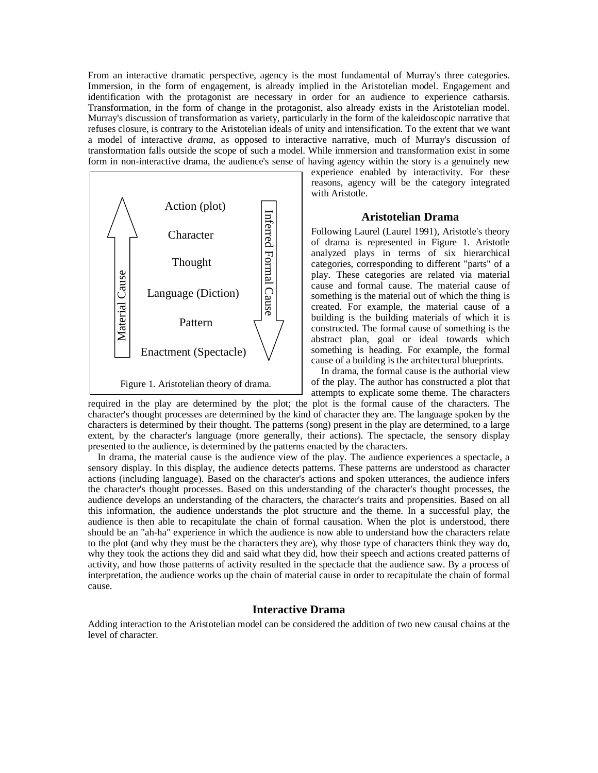From an interactive dramatic perspective, agency is the most fundamental of Murray's three categories. Immersion, in the form of engagement, is already implied in the Aristotelian model. Engagement and identification with the protagonist are necessary in order for an audience to experience catharsis. Transformation, in the form of change in the protagonist, also already exists in the Aristotelian model. Murray's discussion of transformation as variety, particularly in the form of the kaleidoscopic narrative that refuses closure, is contrary to the Aristotelian ideals of unity and intensification. To the extent that we want a model of interactive *drama*, as opposed to interactive narrative, much of Murray's discussion of transformation falls outside the scope of such a model. While immersion and transformation exist in some form in non-interactive drama, the audience's sense of having agency within the story is a genuinely new



experience enabled by interactivity. For these reasons, agency will be the category integrated with Aristotle.

## **Aristotelian Drama**

Following Laurel (Laurel 1991), Aristotle's theory of drama is represented in Figure 1. Aristotle analyzed plays in terms of six hierarchical categories, corresponding to different "parts" of a play. These categories are related via material cause and formal cause. The material cause of something is the material out of which the thing is created. For example, the material cause of a building is the building materials of which it is constructed. The formal cause of something is the abstract plan, goal or ideal towards which something is heading. For example, the formal cause of a building is the architectural blueprints.

 In drama, the formal cause is the authorial view of the play. The author has constructed a plot that attempts to explicate some theme. The characters

required in the play are determined by the plot; the plot is the formal cause of the characters. The character's thought processes are determined by the kind of character they are. The language spoken by the characters is determined by their thought. The patterns (song) present in the play are determined, to a large extent, by the character's language (more generally, their actions). The spectacle, the sensory display presented to the audience, is determined by the patterns enacted by the characters.

 In drama, the material cause is the audience view of the play. The audience experiences a spectacle, a sensory display. In this display, the audience detects patterns. These patterns are understood as character actions (including language). Based on the character's actions and spoken utterances, the audience infers the character's thought processes. Based on this understanding of the character's thought processes, the audience develops an understanding of the characters, the character's traits and propensities. Based on all this information, the audience understands the plot structure and the theme. In a successful play, the audience is then able to recapitulate the chain of formal causation. When the plot is understood, there should be an "ah-ha" experience in which the audience is now able to understand how the characters relate to the plot (and why they must be the characters they are), why those type of characters think they way do, why they took the actions they did and said what they did, how their speech and actions created patterns of activity, and how those patterns of activity resulted in the spectacle that the audience saw. By a process of interpretation, the audience works up the chain of material cause in order to recapitulate the chain of formal cause.

## **Interactive Drama**

Adding interaction to the Aristotelian model can be considered the addition of two new causal chains at the level of character.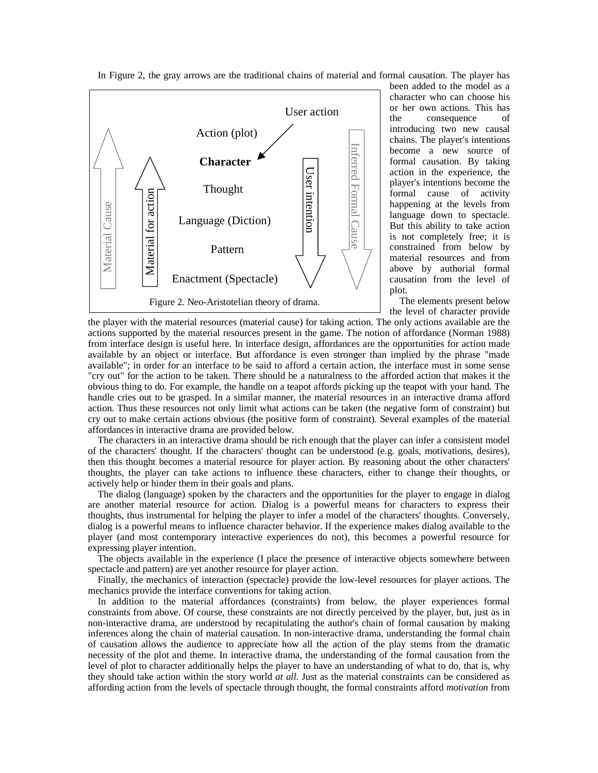In Figure 2, the gray arrows are the traditional chains of material and formal causation. The player has



been added to the model as a character who can choose his or her own actions. This has the consequence of introducing two new causal chains. The player's intentions become a new source of formal causation. By taking action in the experience, the player's intentions become the formal cause of activity happening at the levels from language down to spectacle. But this ability to take action is not completely free; it is constrained from below by material resources and from above by authorial formal causation from the level of plot.

 The elements present below the level of character provide

the player with the material resources (material cause) for taking action. The only actions available are the actions supported by the material resources present in the game. The notion of affordance (Norman 1988) from interface design is useful here. In interface design, affordances are the opportunities for action made available by an object or interface. But affordance is even stronger than implied by the phrase "made available"; in order for an interface to be said to afford a certain action, the interface must in some sense "cry out" for the action to be taken. There should be a naturalness to the afforded action that makes it the obvious thing to do. For example, the handle on a teapot affords picking up the teapot with your hand. The handle cries out to be grasped. In a similar manner, the material resources in an interactive drama afford action. Thus these resources not only limit what actions can be taken (the negative form of constraint) but cry out to make certain actions obvious (the positive form of constraint). Several examples of the material affordances in interactive drama are provided below.

 The characters in an interactive drama should be rich enough that the player can infer a consistent model of the characters' thought. If the characters' thought can be understood (e.g. goals, motivations, desires), then this thought becomes a material resource for player action. By reasoning about the other characters' thoughts, the player can take actions to influence these characters, either to change their thoughts, or actively help or hinder them in their goals and plans.

 The dialog (language) spoken by the characters and the opportunities for the player to engage in dialog are another material resource for action. Dialog is a powerful means for characters to express their thoughts, thus instrumental for helping the player to infer a model of the characters' thoughts. Conversely, dialog is a powerful means to influence character behavior. If the experience makes dialog available to the player (and most contemporary interactive experiences do not), this becomes a powerful resource for expressing player intention.

 The objects available in the experience (I place the presence of interactive objects somewhere between spectacle and pattern) are yet another resource for player action.

 Finally, the mechanics of interaction (spectacle) provide the low-level resources for player actions. The mechanics provide the interface conventions for taking action.

In addition to the material affordances (constraints) from below, the player experiences formal constraints from above. Of course, these constraints are not directly perceived by the player, but, just as in non-interactive drama, are understood by recapitulating the author's chain of formal causation by making inferences along the chain of material causation. In non-interactive drama, understanding the formal chain of causation allows the audience to appreciate how all the action of the play stems from the dramatic necessity of the plot and theme. In interactive drama, the understanding of the formal causation from the level of plot to character additionally helps the player to have an understanding of what to do, that is, why they should take action within the story world *at all*. Just as the material constraints can be considered as affording action from the levels of spectacle through thought, the formal constraints afford *motivation* from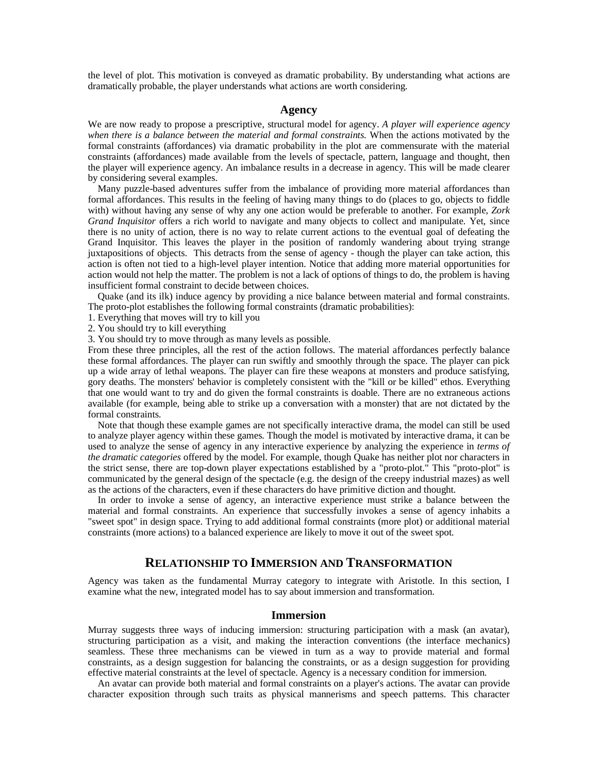the level of plot. This motivation is conveyed as dramatic probability. By understanding what actions are dramatically probable, the player understands what actions are worth considering.

#### **Agency**

We are now ready to propose a prescriptive, structural model for agency. *A player will experience agency when there is a balance between the material and formal constraints.* When the actions motivated by the formal constraints (affordances) via dramatic probability in the plot are commensurate with the material constraints (affordances) made available from the levels of spectacle, pattern, language and thought, then the player will experience agency. An imbalance results in a decrease in agency. This will be made clearer by considering several examples.

 Many puzzle-based adventures suffer from the imbalance of providing more material affordances than formal affordances. This results in the feeling of having many things to do (places to go, objects to fiddle with) without having any sense of why any one action would be preferable to another. For example, *Zork Grand Inquisitor* offers a rich world to navigate and many objects to collect and manipulate. Yet, since there is no unity of action, there is no way to relate current actions to the eventual goal of defeating the Grand Inquisitor. This leaves the player in the position of randomly wandering about trying strange juxtapositions of objects. This detracts from the sense of agency - though the player can take action, this action is often not tied to a high-level player intention. Notice that adding more material opportunities for action would not help the matter. The problem is not a lack of options of things to do, the problem is having insufficient formal constraint to decide between choices.

 Quake (and its ilk) induce agency by providing a nice balance between material and formal constraints. The proto-plot establishes the following formal constraints (dramatic probabilities):

1. Everything that moves will try to kill you

2. You should try to kill everything

3. You should try to move through as many levels as possible.

From these three principles, all the rest of the action follows. The material affordances perfectly balance these formal affordances. The player can run swiftly and smoothly through the space. The player can pick up a wide array of lethal weapons. The player can fire these weapons at monsters and produce satisfying, gory deaths. The monsters' behavior is completely consistent with the "kill or be killed" ethos. Everything that one would want to try and do given the formal constraints is doable. There are no extraneous actions available (for example, being able to strike up a conversation with a monster) that are not dictated by the formal constraints.

 Note that though these example games are not specifically interactive drama, the model can still be used to analyze player agency within these games. Though the model is motivated by interactive drama, it can be used to analyze the sense of agency in any interactive experience by analyzing the experience in *terms of the dramatic categories* offered by the model. For example, though Quake has neither plot nor characters in the strict sense, there are top-down player expectations established by a "proto-plot." This "proto-plot" is communicated by the general design of the spectacle (e.g. the design of the creepy industrial mazes) as well as the actions of the characters, even if these characters do have primitive diction and thought.

 In order to invoke a sense of agency, an interactive experience must strike a balance between the material and formal constraints. An experience that successfully invokes a sense of agency inhabits a "sweet spot" in design space. Trying to add additional formal constraints (more plot) or additional material constraints (more actions) to a balanced experience are likely to move it out of the sweet spot.

# **RELATIONSHIP TO IMMERSION AND TRANSFORMATION**

Agency was taken as the fundamental Murray category to integrate with Aristotle. In this section, I examine what the new, integrated model has to say about immersion and transformation.

#### **Immersion**

Murray suggests three ways of inducing immersion: structuring participation with a mask (an avatar), structuring participation as a visit, and making the interaction conventions (the interface mechanics) seamless. These three mechanisms can be viewed in turn as a way to provide material and formal constraints, as a design suggestion for balancing the constraints, or as a design suggestion for providing effective material constraints at the level of spectacle. Agency is a necessary condition for immersion.

 An avatar can provide both material and formal constraints on a player's actions. The avatar can provide character exposition through such traits as physical mannerisms and speech patterns. This character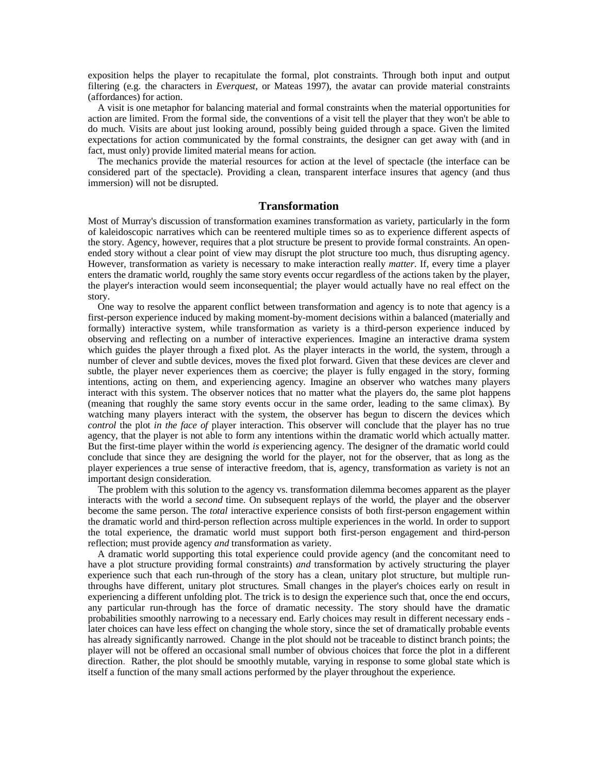exposition helps the player to recapitulate the formal, plot constraints. Through both input and output filtering (e.g. the characters in *Everquest*, or Mateas 1997), the avatar can provide material constraints (affordances) for action.

 A visit is one metaphor for balancing material and formal constraints when the material opportunities for action are limited. From the formal side, the conventions of a visit tell the player that they won't be able to do much. Visits are about just looking around, possibly being guided through a space. Given the limited expectations for action communicated by the formal constraints, the designer can get away with (and in fact, must only) provide limited material means for action.

 The mechanics provide the material resources for action at the level of spectacle (the interface can be considered part of the spectacle). Providing a clean, transparent interface insures that agency (and thus immersion) will not be disrupted.

#### **Transformation**

Most of Murray's discussion of transformation examines transformation as variety, particularly in the form of kaleidoscopic narratives which can be reentered multiple times so as to experience different aspects of the story. Agency, however, requires that a plot structure be present to provide formal constraints. An openended story without a clear point of view may disrupt the plot structure too much, thus disrupting agency. However, transformation as variety is necessary to make interaction really *matter*. If, every time a player enters the dramatic world, roughly the same story events occur regardless of the actions taken by the player, the player's interaction would seem inconsequential; the player would actually have no real effect on the story.

 One way to resolve the apparent conflict between transformation and agency is to note that agency is a first-person experience induced by making moment-by-moment decisions within a balanced (materially and formally) interactive system, while transformation as variety is a third-person experience induced by observing and reflecting on a number of interactive experiences. Imagine an interactive drama system which guides the player through a fixed plot. As the player interacts in the world, the system, through a number of clever and subtle devices, moves the fixed plot forward. Given that these devices are clever and subtle, the player never experiences them as coercive; the player is fully engaged in the story, forming intentions, acting on them, and experiencing agency. Imagine an observer who watches many players interact with this system. The observer notices that no matter what the players do, the same plot happens (meaning that roughly the same story events occur in the same order, leading to the same climax). By watching many players interact with the system, the observer has begun to discern the devices which *control* the plot *in the face of* player interaction. This observer will conclude that the player has no true agency, that the player is not able to form any intentions within the dramatic world which actually matter. But the first-time player within the world *is* experiencing agency. The designer of the dramatic world could conclude that since they are designing the world for the player, not for the observer, that as long as the player experiences a true sense of interactive freedom, that is, agency, transformation as variety is not an important design consideration.

 The problem with this solution to the agency vs. transformation dilemma becomes apparent as the player interacts with the world a *second* time. On subsequent replays of the world, the player and the observer become the same person. The *total* interactive experience consists of both first-person engagement within the dramatic world and third-person reflection across multiple experiences in the world. In order to support the total experience, the dramatic world must support both first-person engagement and third-person reflection; must provide agency *and* transformation as variety.

 A dramatic world supporting this total experience could provide agency (and the concomitant need to have a plot structure providing formal constraints) *and* transformation by actively structuring the player experience such that each run-through of the story has a clean, unitary plot structure, but multiple runthroughs have different, unitary plot structures. Small changes in the player's choices early on result in experiencing a different unfolding plot. The trick is to design the experience such that, once the end occurs, any particular run-through has the force of dramatic necessity. The story should have the dramatic probabilities smoothly narrowing to a necessary end. Early choices may result in different necessary ends later choices can have less effect on changing the whole story, since the set of dramatically probable events has already significantly narrowed. Change in the plot should not be traceable to distinct branch points; the player will not be offered an occasional small number of obvious choices that force the plot in a different direction. Rather, the plot should be smoothly mutable, varying in response to some global state which is itself a function of the many small actions performed by the player throughout the experience.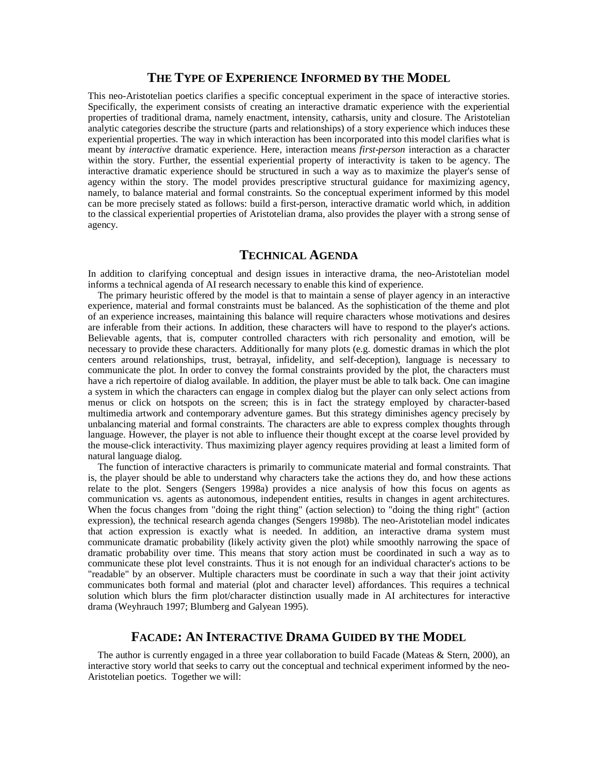# **THE TYPE OF EXPERIENCE INFORMED BY THE MODEL**

This neo-Aristotelian poetics clarifies a specific conceptual experiment in the space of interactive stories. Specifically, the experiment consists of creating an interactive dramatic experience with the experiential properties of traditional drama, namely enactment, intensity, catharsis, unity and closure. The Aristotelian analytic categories describe the structure (parts and relationships) of a story experience which induces these experiential properties. The way in which interaction has been incorporated into this model clarifies what is meant by *interactive* dramatic experience. Here, interaction means *first-person* interaction as a character within the story. Further, the essential experiential property of interactivity is taken to be agency. The interactive dramatic experience should be structured in such a way as to maximize the player's sense of agency within the story. The model provides prescriptive structural guidance for maximizing agency, namely, to balance material and formal constraints. So the conceptual experiment informed by this model can be more precisely stated as follows: build a first-person, interactive dramatic world which, in addition to the classical experiential properties of Aristotelian drama, also provides the player with a strong sense of agency.

# **TECHNICAL AGENDA**

In addition to clarifying conceptual and design issues in interactive drama, the neo-Aristotelian model informs a technical agenda of AI research necessary to enable this kind of experience.

 The primary heuristic offered by the model is that to maintain a sense of player agency in an interactive experience, material and formal constraints must be balanced. As the sophistication of the theme and plot of an experience increases, maintaining this balance will require characters whose motivations and desires are inferable from their actions. In addition, these characters will have to respond to the player's actions. Believable agents, that is, computer controlled characters with rich personality and emotion, will be necessary to provide these characters. Additionally for many plots (e.g. domestic dramas in which the plot centers around relationships, trust, betrayal, infidelity, and self-deception), language is necessary to communicate the plot. In order to convey the formal constraints provided by the plot, the characters must have a rich repertoire of dialog available. In addition, the player must be able to talk back. One can imagine a system in which the characters can engage in complex dialog but the player can only select actions from menus or click on hotspots on the screen; this is in fact the strategy employed by character-based multimedia artwork and contemporary adventure games. But this strategy diminishes agency precisely by unbalancing material and formal constraints. The characters are able to express complex thoughts through language. However, the player is not able to influence their thought except at the coarse level provided by the mouse-click interactivity. Thus maximizing player agency requires providing at least a limited form of natural language dialog.

 The function of interactive characters is primarily to communicate material and formal constraints. That is, the player should be able to understand why characters take the actions they do, and how these actions relate to the plot. Sengers (Sengers 1998a) provides a nice analysis of how this focus on agents as communication vs. agents as autonomous, independent entities, results in changes in agent architectures. When the focus changes from "doing the right thing" (action selection) to "doing the thing right" (action expression), the technical research agenda changes (Sengers 1998b). The neo-Aristotelian model indicates that action expression is exactly what is needed. In addition, an interactive drama system must communicate dramatic probability (likely activity given the plot) while smoothly narrowing the space of dramatic probability over time. This means that story action must be coordinated in such a way as to communicate these plot level constraints. Thus it is not enough for an individual character's actions to be "readable" by an observer. Multiple characters must be coordinate in such a way that their joint activity communicates both formal and material (plot and character level) affordances. This requires a technical solution which blurs the firm plot/character distinction usually made in AI architectures for interactive drama (Weyhrauch 1997; Blumberg and Galyean 1995).

## **FACADE: AN INTERACTIVE DRAMA GUIDED BY THE MODEL**

 The author is currently engaged in a three year collaboration to build Facade (Mateas & Stern, 2000), an interactive story world that seeks to carry out the conceptual and technical experiment informed by the neo-Aristotelian poetics. Together we will: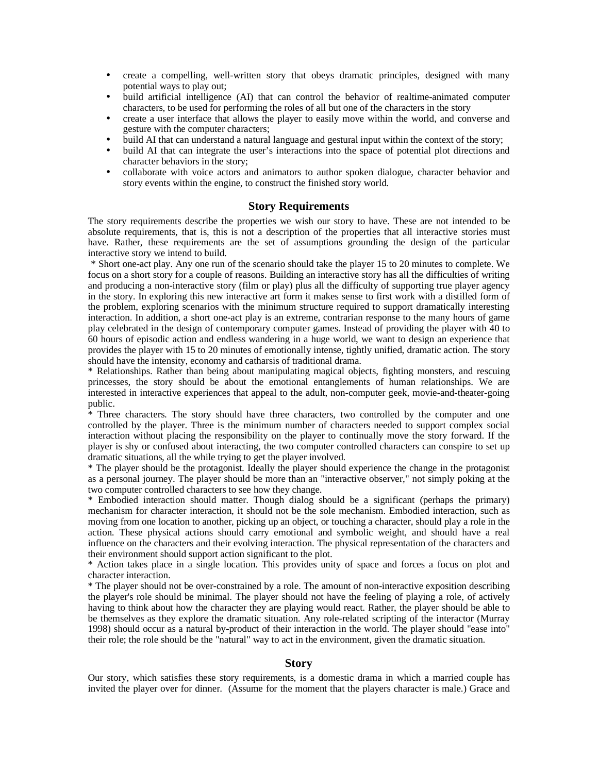- create a compelling, well-written story that obeys dramatic principles, designed with many potential ways to play out;
- build artificial intelligence (AI) that can control the behavior of realtime-animated computer characters, to be used for performing the roles of all but one of the characters in the story
- create a user interface that allows the player to easily move within the world, and converse and gesture with the computer characters;
- build AI that can understand a natural language and gestural input within the context of the story;
- build AI that can integrate the user's interactions into the space of potential plot directions and character behaviors in the story;
- collaborate with voice actors and animators to author spoken dialogue, character behavior and story events within the engine, to construct the finished story world.

#### **Story Requirements**

The story requirements describe the properties we wish our story to have. These are not intended to be absolute requirements, that is, this is not a description of the properties that all interactive stories must have. Rather, these requirements are the set of assumptions grounding the design of the particular interactive story we intend to build.

\* Short one-act play. Any one run of the scenario should take the player 15 to 20 minutes to complete. We focus on a short story for a couple of reasons. Building an interactive story has all the difficulties of writing and producing a non-interactive story (film or play) plus all the difficulty of supporting true player agency in the story. In exploring this new interactive art form it makes sense to first work with a distilled form of the problem, exploring scenarios with the minimum structure required to support dramatically interesting interaction. In addition, a short one-act play is an extreme, contrarian response to the many hours of game play celebrated in the design of contemporary computer games. Instead of providing the player with 40 to 60 hours of episodic action and endless wandering in a huge world, we want to design an experience that provides the player with 15 to 20 minutes of emotionally intense, tightly unified, dramatic action. The story should have the intensity, economy and catharsis of traditional drama.

\* Relationships. Rather than being about manipulating magical objects, fighting monsters, and rescuing princesses, the story should be about the emotional entanglements of human relationships. We are interested in interactive experiences that appeal to the adult, non-computer geek, movie-and-theater-going public.

\* Three characters. The story should have three characters, two controlled by the computer and one controlled by the player. Three is the minimum number of characters needed to support complex social interaction without placing the responsibility on the player to continually move the story forward. If the player is shy or confused about interacting, the two computer controlled characters can conspire to set up dramatic situations, all the while trying to get the player involved.

\* The player should be the protagonist. Ideally the player should experience the change in the protagonist as a personal journey. The player should be more than an "interactive observer," not simply poking at the two computer controlled characters to see how they change.

\* Embodied interaction should matter. Though dialog should be a significant (perhaps the primary) mechanism for character interaction, it should not be the sole mechanism. Embodied interaction, such as moving from one location to another, picking up an object, or touching a character, should play a role in the action. These physical actions should carry emotional and symbolic weight, and should have a real influence on the characters and their evolving interaction. The physical representation of the characters and their environment should support action significant to the plot.

\* Action takes place in a single location. This provides unity of space and forces a focus on plot and character interaction.

\* The player should not be over-constrained by a role. The amount of non-interactive exposition describing the player's role should be minimal. The player should not have the feeling of playing a role, of actively having to think about how the character they are playing would react. Rather, the player should be able to be themselves as they explore the dramatic situation. Any role-related scripting of the interactor (Murray 1998) should occur as a natural by-product of their interaction in the world. The player should "ease into" their role; the role should be the "natural" way to act in the environment, given the dramatic situation.

#### **Story**

Our story, which satisfies these story requirements, is a domestic drama in which a married couple has invited the player over for dinner. (Assume for the moment that the players character is male.) Grace and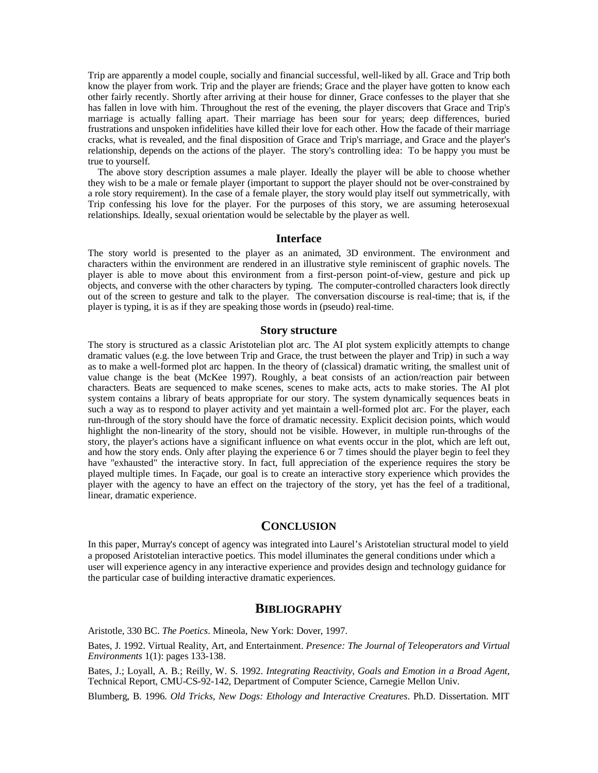Trip are apparently a model couple, socially and financial successful, well-liked by all. Grace and Trip both know the player from work. Trip and the player are friends; Grace and the player have gotten to know each other fairly recently. Shortly after arriving at their house for dinner, Grace confesses to the player that she has fallen in love with him. Throughout the rest of the evening, the player discovers that Grace and Trip's marriage is actually falling apart. Their marriage has been sour for years; deep differences, buried frustrations and unspoken infidelities have killed their love for each other. How the facade of their marriage cracks, what is revealed, and the final disposition of Grace and Trip's marriage, and Grace and the player's relationship, depends on the actions of the player. The story's controlling idea: To be happy you must be true to yourself.

The above story description assumes a male player. Ideally the player will be able to choose whether they wish to be a male or female player (important to support the player should not be over-constrained by a role story requirement). In the case of a female player, the story would play itself out symmetrically, with Trip confessing his love for the player. For the purposes of this story, we are assuming heterosexual relationships. Ideally, sexual orientation would be selectable by the player as well.

#### **Interface**

The story world is presented to the player as an animated, 3D environment. The environment and characters within the environment are rendered in an illustrative style reminiscent of graphic novels. The player is able to move about this environment from a first-person point-of-view, gesture and pick up objects, and converse with the other characters by typing. The computer-controlled characters look directly out of the screen to gesture and talk to the player. The conversation discourse is real-time; that is, if the player is typing, it is as if they are speaking those words in (pseudo) real-time.

#### **Story structure**

The story is structured as a classic Aristotelian plot arc. The AI plot system explicitly attempts to change dramatic values (e.g. the love between Trip and Grace, the trust between the player and Trip) in such a way as to make a well-formed plot arc happen. In the theory of (classical) dramatic writing, the smallest unit of value change is the beat (McKee 1997). Roughly, a beat consists of an action/reaction pair between characters. Beats are sequenced to make scenes, scenes to make acts, acts to make stories. The AI plot system contains a library of beats appropriate for our story. The system dynamically sequences beats in such a way as to respond to player activity and yet maintain a well-formed plot arc. For the player, each run-through of the story should have the force of dramatic necessity. Explicit decision points, which would highlight the non-linearity of the story, should not be visible. However, in multiple run-throughs of the story, the player's actions have a significant influence on what events occur in the plot, which are left out, and how the story ends. Only after playing the experience 6 or 7 times should the player begin to feel they have "exhausted" the interactive story. In fact, full appreciation of the experience requires the story be played multiple times. In Façade, our goal is to create an interactive story experience which provides the player with the agency to have an effect on the trajectory of the story, yet has the feel of a traditional, linear, dramatic experience.

# **CONCLUSION**

In this paper, Murray's concept of agency was integrated into Laurel's Aristotelian structural model to yield a proposed Aristotelian interactive poetics. This model illuminates the general conditions under which a user will experience agency in any interactive experience and provides design and technology guidance for the particular case of building interactive dramatic experiences.

### **BIBLIOGRAPHY**

Aristotle, 330 BC. *The Poetics*. Mineola, New York: Dover, 1997.

Bates, J. 1992. Virtual Reality, Art, and Entertainment. *Presence: The Journal of Teleoperators and Virtual Environments* 1(1): pages 133-138.

Bates, J.; Loyall, A. B.; Reilly, W. S. 1992. *Integrating Reactivity, Goals and Emotion in a Broad Agent*, Technical Report, CMU-CS-92-142, Department of Computer Science, Carnegie Mellon Univ.

Blumberg, B. 1996. *Old Tricks, New Dogs: Ethology and Interactive Creatures*. Ph.D. Dissertation. MIT